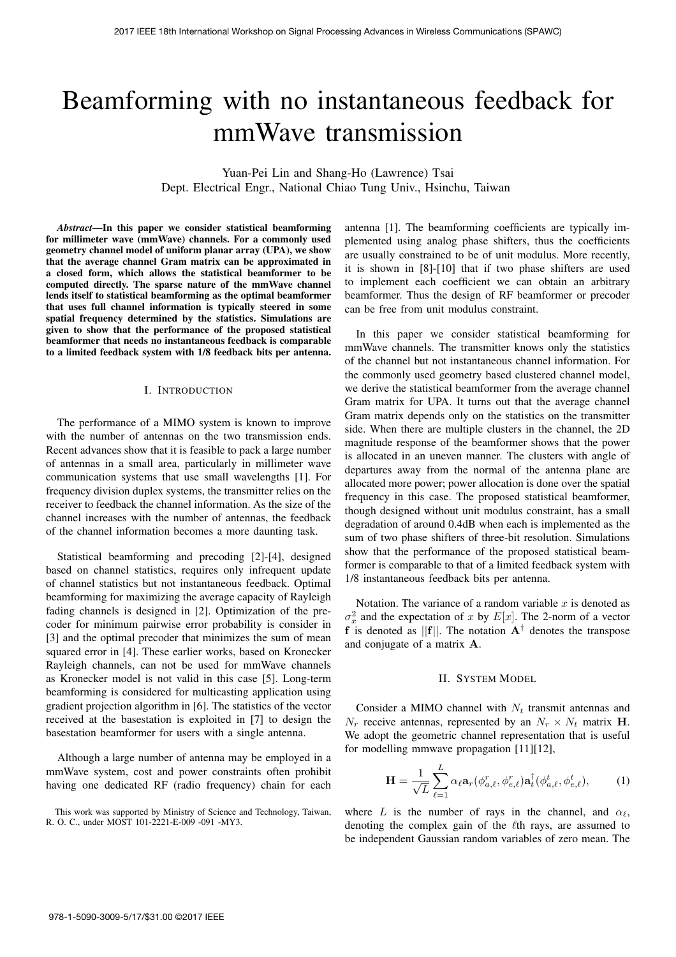# Beamforming with no instantaneous feedback for mmWave transmission

Yuan-Pei Lin and Shang-Ho (Lawrence) Tsai Dept. Electrical Engr., National Chiao Tung Univ., Hsinchu, Taiwan

*Abstract*—In this paper we consider statistical beamforming for millimeter wave (mmWave) channels. For a commonly used geometry channel model of uniform planar array (UPA), we show that the average channel Gram matrix can be approximated in a closed form, which allows the statistical beamformer to be computed directly. The sparse nature of the mmWave channel lends itself to statistical beamforming as the optimal beamformer that uses full channel information is typically steered in some spatial frequency determined by the statistics. Simulations are given to show that the performance of the proposed statistical beamformer that needs no instantaneous feedback is comparable to a limited feedback system with 1/8 feedback bits per antenna.

## I. INTRODUCTION

The performance of a MIMO system is known to improve with the number of antennas on the two transmission ends. Recent advances show that it is feasible to pack a large number of antennas in a small area, particularly in millimeter wave communication systems that use small wavelengths [1]. For frequency division duplex systems, the transmitter relies on the receiver to feedback the channel information. As the size of the channel increases with the number of antennas, the feedback of the channel information becomes a more daunting task.

Statistical beamforming and precoding [2]-[4], designed based on channel statistics, requires only infrequent update of channel statistics but not instantaneous feedback. Optimal beamforming for maximizing the average capacity of Rayleigh fading channels is designed in [2]. Optimization of the precoder for minimum pairwise error probability is consider in [3] and the optimal precoder that minimizes the sum of mean squared error in [4]. These earlier works, based on Kronecker Rayleigh channels, can not be used for mmWave channels as Kronecker model is not valid in this case [5]. Long-term beamforming is considered for multicasting application using gradient projection algorithm in [6]. The statistics of the vector received at the basestation is exploited in [7] to design the basestation beamformer for users with a single antenna.

Although a large number of antenna may be employed in a mmWave system, cost and power constraints often prohibit having one dedicated RF (radio frequency) chain for each

antenna [1]. The beamforming coefficients are typically implemented using analog phase shifters, thus the coefficients are usually constrained to be of unit modulus. More recently, it is shown in [8]-[10] that if two phase shifters are used to implement each coefficient we can obtain an arbitrary beamformer. Thus the design of RF beamformer or precoder can be free from unit modulus constraint.

In this paper we consider statistical beamforming for mmWave channels. The transmitter knows only the statistics of the channel but not instantaneous channel information. For the commonly used geometry based clustered channel model, we derive the statistical beamformer from the average channel Gram matrix for UPA. It turns out that the average channel Gram matrix depends only on the statistics on the transmitter side. When there are multiple clusters in the channel, the 2D magnitude response of the beamformer shows that the power is allocated in an uneven manner. The clusters with angle of departures away from the normal of the antenna plane are allocated more power; power allocation is done over the spatial frequency in this case. The proposed statistical beamformer, though designed without unit modulus constraint, has a small degradation of around 0.4dB when each is implemented as the sum of two phase shifters of three-bit resolution. Simulations show that the performance of the proposed statistical beamformer is comparable to that of a limited feedback system with 1/8 instantaneous feedback bits per antenna.

Notation. The variance of a random variable  $x$  is denoted as  $\sigma_x^2$  and the expectation of x by  $E[x]$ . The 2-norm of a vector **f** is denoted as  $||\mathbf{f}||$ . The notation  $\mathbf{A}^{\dagger}$  denotes the transpose and conjugate of a matrix **A**.

#### II. SYSTEM MODEL

Consider a MIMO channel with  $N_t$  transmit antennas and  $N_r$  receive antennas, represented by an  $N_r \times N_t$  matrix **H**. We adopt the geometric channel representation that is useful for modelling mmwave propagation [11][12],

$$
\mathbf{H} = \frac{1}{\sqrt{L}} \sum_{\ell=1}^{L} \alpha_{\ell} \mathbf{a}_{r}(\phi_{a,\ell}^{r}, \phi_{e,\ell}^{r}) \mathbf{a}_{t}^{\dagger}(\phi_{a,\ell}^{t}, \phi_{e,\ell}^{t}), \quad (1)
$$

where L is the number of rays in the channel, and  $\alpha_{\ell}$ , denoting the complex gain of the  $\ell$ th rays, are assumed to be independent Gaussian random variables of zero mean. The

This work was supported by Ministry of Science and Technology, Taiwan, R. O. C., under MOST 101-2221-E-009 -091 -MY3.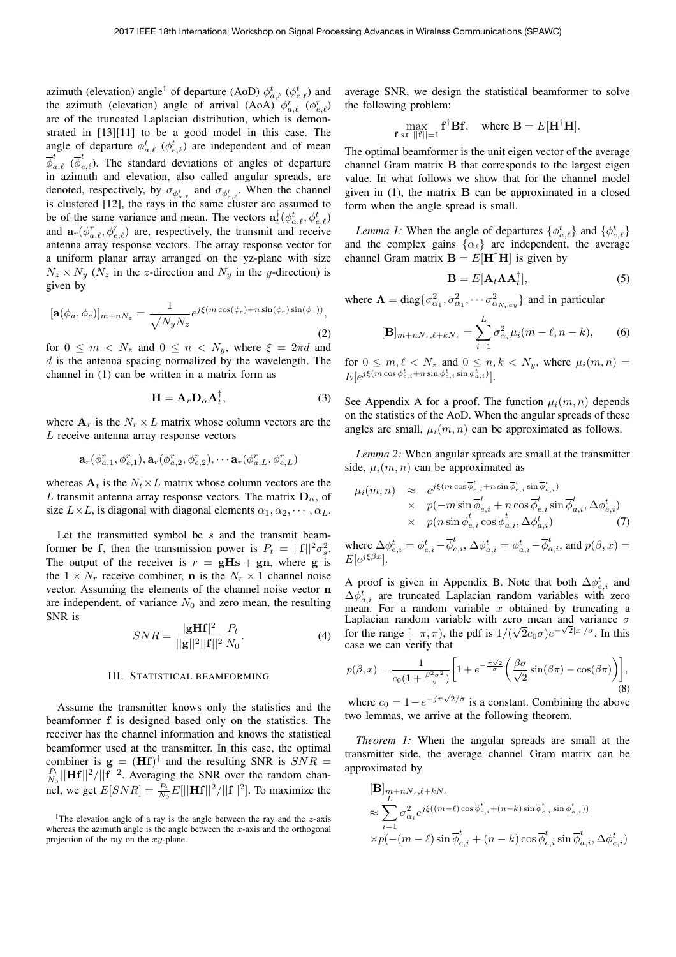azimuth (elevation) angle<sup>1</sup> of departure (AoD)  $\phi_{a,\ell}^t$  ( $\phi_{e,\ell}^t$ ) and the azimuth (elevation) angle of arrival (AoA)  $\phi_{a,\ell}^r$  ( $\phi_{e,\ell}^r$ ) are of the truncated Laplacian distribution, which is demonstrated in [13][11] to be a good model in this case. The angle of departure  $\phi_{a,\ell}^t$  ( $\phi_{e,\ell}^t$ ) are independent and of mean  $\overline{\phi}^t$  $_{a,\ell}^t$  ( ${\overline{\phi}}^t_{\epsilon}$  $e_{e,\ell}$ ). The standard deviations of angles of departure in azimuth and elevation, also called angular spreads, are denoted, respectively, by  $\sigma_{\phi_{a,\ell}^t}$  and  $\sigma_{\phi_{e,\ell}^t}$ . When the channel is clustered [12], the rays in the same cluster are assumed to be of the same variance and mean. The vectors  $\mathbf{a}_{k}^{\dagger}(\phi_{a,\ell}^{t},\phi_{e,\ell}^{t})$ <br>and  $\mathbf{a}_{\ell}(\phi_{a,\ell}^{r},\phi_{e,\ell}^{r})$  are respectively the transmit and receive and  $\mathbf{a}_r(\phi_{a,\ell}^r, \phi_{e,\ell}^r)$  are, respectively, the transmit and receive<br>antenna array response vectors. The array response vector for antenna array response vectors. The array response vector for a uniform planar array arranged on the yz-plane with size  $N_z \times N_y$  ( $N_z$  in the z-direction and  $N_y$  in the y-direction) is given by

$$
[\mathbf{a}(\phi_a, \phi_e)]_{m+nN_z} = \frac{1}{\sqrt{N_y N_z}} e^{j\xi(m\cos(\phi_e) + n\sin(\phi_e)\sin(\phi_a))},
$$
\n(2)

for  $0 \leq m \lt N_z$  and  $0 \leq n \lt N_y$ , where  $\xi = 2\pi d$  and  $d$  is the antenna spacing normalized by the wavelength. The channel in (1) can be written in a matrix form as

$$
\mathbf{H} = \mathbf{A}_r \mathbf{D}_\alpha \mathbf{A}_t^\dagger, \tag{3}
$$

where  $\mathbf{A}_r$  is the  $N_r \times L$  matrix whose column vectors are the L receive antenna array response vectors

$$
\mathbf{a}_r(\phi_{a,1}^r, \phi_{e,1}^r), \mathbf{a}_r(\phi_{a,2}^r, \phi_{e,2}^r), \cdots \mathbf{a}_r(\phi_{a,L}^r, \phi_{e,L}^r)
$$

whereas  $A_t$  is the  $N_t \times L$  matrix whose column vectors are the L transmit antenna array response vectors. The matrix  $D_{\alpha}$ , of size  $L \times L$ , is diagonal with diagonal elements  $\alpha_1, \alpha_2, \cdots, \alpha_L$ .

Let the transmitted symbol be s and the transmit beamformer be **f**, then the transmission power is  $P_t = ||\mathbf{f}||^2 \sigma_s^2$ .<br>The output of the receiver is  $r - \sigma \mathbf{Hs} + \sigma \mathbf{n}$ , where  $\sigma$  is The output of the receiver is  $r = gHs + gn$ , where **g** is the  $1 \times N_r$  receive combiner, **n** is the  $N_r \times 1$  channel noise vector. Assuming the elements of the channel noise vector **n** are independent, of variance  $N_0$  and zero mean, the resulting SNR is

$$
SNR = \frac{|\mathbf{g} \mathbf{H} \mathbf{f}|^2}{||\mathbf{g}||^2||\mathbf{f}||^2} \frac{P_t}{N_0}.
$$
 (4)

#### III. STATISTICAL BEAMFORMING

Assume the transmitter knows only the statistics and the beamformer **f** is designed based only on the statistics. The receiver has the channel information and knows the statistical beamformer used at the transmitter. In this case, the optimal combiner is  $\mathbf{g} = (\mathbf{H}\mathbf{f})^{\dagger}$  and the resulting SNR is  $SNR =$  $\frac{P_t}{N_0} ||\mathbf{Hf}||^2 / ||\mathbf{f}||^2$ . Averaging the SNR over the random channel, we get  $E[SNR] = \frac{P_t}{N_0} E[||\mathbf{Hf}||^2 / ||\mathbf{f}||^2]$ . To maximize the average SNR, we design the statistical beamformer to solve the following problem:

$$
\max_{\mathbf{f} \text{ s.t. } ||\mathbf{f}||=1} \mathbf{f}^{\dagger} \mathbf{B} \mathbf{f}, \quad \text{where } \mathbf{B} = E[\mathbf{H}^{\dagger} \mathbf{H}].
$$

The optimal beamformer is the unit eigen vector of the average channel Gram matrix **B** that corresponds to the largest eigen value. In what follows we show that for the channel model given in (1), the matrix **B** can be approximated in a closed form when the angle spread is small.

*Lemma 1:* When the angle of departures  $\{\phi_{a,\ell}^t\}$  and  $\{\phi_{e,\ell}^t\}$ and the complex gains  $\{\alpha_\ell\}$  are independent, the average channel Gram matrix  $\mathbf{B} = E[\mathbf{H}^{\dagger} \mathbf{H}]$  is given by

$$
\mathbf{B} = E[\mathbf{A}_t \mathbf{\Lambda} \mathbf{A}_t^\dagger],\tag{5}
$$

where  $\mathbf{\Lambda} = \text{diag}\{\sigma_{\alpha_1}^2, \sigma_{\alpha_1}^2, \cdots, \sigma_{\alpha_{Nray}}^2\}$  and in particular

$$
[\mathbf{B}]_{m+nN_z,\ell+kN_z} = \sum_{i=1}^{L} \sigma_{\alpha_i}^2 \mu_i (m - \ell, n - k), \qquad (6)
$$

for  $0 \leq m, \ell < N_z$  and  $0 \leq n, k < N_y$ , where  $\mu_i(m, n) =$  $E[e^{j\xi(m\cos\phi_{e,i}^t+n\sin\phi_{e,i}^t\sin\phi_{a,i}^t)}].$ 

See Appendix A for a proof. The function  $\mu_i(m, n)$  depends on the statistics of the AoD. When the angular spreads of these angles are small,  $\mu_i(m, n)$  can be approximated as follows.

*Lemma 2:* When angular spreads are small at the transmitter side,  $\mu_i(m, n)$  can be approximated as

$$
\mu_i(m, n) \approx e^{j\xi(m\cos\overline{\phi}_{e,i}^t + n\sin\overline{\phi}_{e,i}^t \sin\overline{\phi}_{a,i}^t)} \times p(-m\sin\overline{\phi}_{e,i}^t + n\cos\overline{\phi}_{e,i}^t \sin\overline{\phi}_{a,i}^t, \Delta\phi_{e,i}^t) \times p(n\sin\overline{\phi}_{e,i}^t \cos\overline{\phi}_{a,i}^t, \Delta\phi_{a,i}^t)
$$
\n(7)

where  $\Delta \phi_{e,i}^t = \phi_{e,i}^t - \overline{\phi}_{e,i}^t$ ,  $\Delta \phi_{a,i}^t = \phi_{a,i}^t - \overline{\phi}_{a,i}^t$ , and  $p(\beta, x) =$  $E[e^{j\xi\beta x}]$ .

A proof is given in Appendix B. Note that both  $\Delta \phi_{e,i}^t$  and  $\Delta \phi_{a,i}^{t}$  are truncated Laplacian random variables with zero mean. For a random variable  $x$  obtained by truncating a Laplacian random variable with zero mean and variance  $\sigma$ for the range  $[-\pi, \pi)$ , the pdf is  $1/(\sqrt{2}c_0\sigma)e^{-\sqrt{2}|x|/\sigma}$ . In this case we can verify that

$$
p(\beta, x) = \frac{1}{c_0(1 + \frac{\beta^2 \sigma^2}{2})} \bigg[ 1 + e^{-\frac{\pi \sqrt{2}}{\sigma}} \bigg( \frac{\beta \sigma}{\sqrt{2}} \sin(\beta \pi) - \cos(\beta \pi) \bigg) \bigg],
$$
(8)

where  $c_0 = 1 - e^{-j\pi\sqrt{2}/\sigma}$  is a constant. Combining the above two lemmas, we arrive at the following theorem.

*Theorem 1:* When the angular spreads are small at the transmitter side, the average channel Gram matrix can be approximated by

$$
[\mathbf{B}]_{m+nN_z,\ell+kN_z}
$$
  
\n
$$
\approx \sum_{i=1}^{L} \sigma_{\alpha_i}^2 e^{j\xi((m-\ell)\cos\overline{\phi}_{e,i}^t + (n-k)\sin\overline{\phi}_{e,i}^t \sin\overline{\phi}_{a,i}^t))}
$$
  
\n
$$
\times p(-(m-\ell)\sin\overline{\phi}_{e,i}^t + (n-k)\cos\overline{\phi}_{e,i}^t \sin\overline{\phi}_{a,i}^t, \Delta\phi_{e,i}^t)
$$

<sup>&</sup>lt;sup>1</sup>The elevation angle of a ray is the angle between the ray and the  $z$ -axis whereas the azimuth angle is the angle between the  $x$ -axis and the orthogonal projection of the ray on the xy-plane.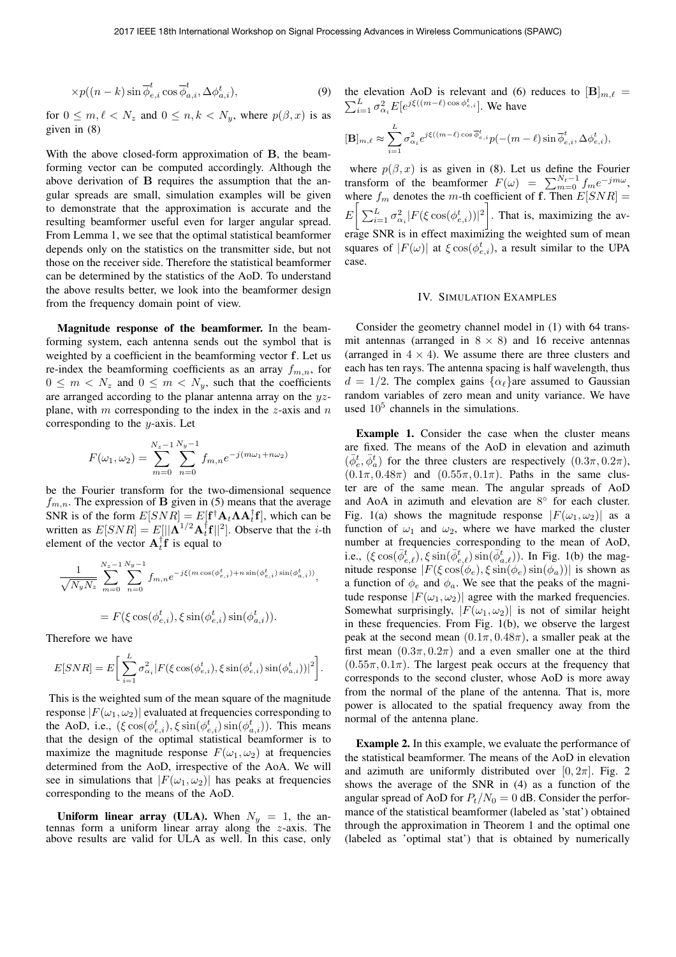$$
\times p((n-k)\sin\overline{\phi}_{e,i}^t\cos\overline{\phi}_{a,i}^t,\Delta\phi_{a,i}^t),\tag{9}
$$

for  $0 \leq m, \ell < N_z$  and  $0 \leq n, k < N_y$ , where  $p(\beta, x)$  is as given in (8)

With the above closed-form approximation of **B**, the beamforming vector can be computed accordingly. Although the above derivation of **B** requires the assumption that the angular spreads are small, simulation examples will be given to demonstrate that the approximation is accurate and the resulting beamformer useful even for larger angular spread. From Lemma 1, we see that the optimal statistical beamformer depends only on the statistics on the transmitter side, but not those on the receiver side. Therefore the statistical beamformer can be determined by the statistics of the AoD. To understand the above results better, we look into the beamformer design from the frequency domain point of view.

Magnitude response of the beamformer. In the beamforming system, each antenna sends out the symbol that is weighted by a coefficient in the beamforming vector **f**. Let us re-index the beamforming coefficients as an array  $f_{m,n}$ , for  $0 \leq m \leq N_z$  and  $0 \leq m \leq N_y$ , such that the coefficients are arranged according to the planar antenna array on the  $yz$ plane, with m corresponding to the index in the z-axis and  $n$ corresponding to the  $y$ -axis. Let

$$
F(\omega_1, \omega_2) = \sum_{m=0}^{N_z - 1} \sum_{n=0}^{N_y - 1} f_{m,n} e^{-j(m\omega_1 + n\omega_2)}
$$

be the Fourier transform for the two-dimensional sequence  $f_{m,n}$ . The expression of **B** given in (5) means that the average SNR is of the form  $E[SNR] = E[\mathbf{f}^{\dagger} \mathbf{A}_t \mathbf{A}_t \mathbf{f}]$ , which can be written as  $E[SNR] = E[|\mathbf{A}^{\dagger}|^2 \mathbf{A}^{\dagger} \mathbf{f}|^2]$ . Observe that the *i*-th written as  $E[SNR] = E[||\Lambda^{1/2}A_t^{\dagger}f||^2]$ . Observe that the *i*-th element of the vector  $\Lambda^{\dagger}f$  is equal to element of the vector  $\mathbf{A}_t^{\mathsf{T}} \mathbf{f}$  is equal to

$$
\frac{1}{\sqrt{N_y N_z}} \sum_{m=0}^{N_z-1} \sum_{n=0}^{N_y-1} f_{m,n} e^{-j\xi(m \cos(\phi_{e,i}^t) + n \sin(\phi_{e,i}^t) \sin(\phi_{a,i}^t))},
$$

$$
= F(\xi \cos(\phi_{e,i}^t), \xi \sin(\phi_{e,i}^t) \sin(\phi_{a,i}^t)).
$$

Therefore we have

$$
E[SNR] = E\bigg[\sum_{i=1}^{L} \sigma_{\alpha_i}^2 |F(\xi \cos(\phi_{e,i}^t), \xi \sin(\phi_{e,i}^t) \sin(\phi_{a,i}^t))|^2\bigg].
$$

This is the weighted sum of the mean square of the magnitude response  $|F(\omega_1, \omega_2)|$  evaluated at frequencies corresponding to the AoD, i.e.,  $(\xi \cos(\phi_{e,i}^t), \xi \sin(\phi_{e,i}^t) \sin(\phi_{a,i}^t))$ . This means that the design of the optimal statistical beamformer is to maximize the magnitude response  $F(\omega_1, \omega_2)$  at frequencies determined from the AoD, irrespective of the AoA. We will see in simulations that  $|F(\omega_1, \omega_2)|$  has peaks at frequencies corresponding to the means of the AoD.

Uniform linear array (ULA). When  $N_y = 1$ , the antennas form a uniform linear array along the z-axis. The above results are valid for ULA as well. In this case, only the elevation AoD is relevant and (6) reduces to  $[\mathbf{B}]_{m,\ell} = \nabla^L \cdot \sigma^2 E[\sigma] \hat{\mathcal{E}}((m-\ell)\cos\phi_{\sigma,i}^{\dagger}]$ . We have  $\sum_{i=1}^{L} \sigma_{\alpha_i}^2 E[e^{j\xi((m-\ell)\cos\phi_{e,i}^t}].$  We have

$$
[\mathbf{B}]_{m,\ell} \approx \sum_{i=1}^L \sigma_{\alpha_i}^2 e^{j\xi((m-\ell)\cos \overline{\phi}_{e,i}^t} p(-(m-\ell)\sin \overline{\phi}_{e,i}^t, \Delta \phi_{e,i}^t),
$$

where  $p(\beta, x)$  is as given in (8). Let us define the Fourier transform of the beamformer  $F(\omega) = \sum_{m=0}^{N_t-1} f_m e^{-jm\omega}$ , where  $f_m$  denotes the m-th coefficient of **f**. Then  $E[SNR] =$  $E\left[\sum_{i=1}^{L}\sigma_{\alpha_i}^2|F(\xi\cos(\phi_{e,i}^t))|^2\right]$ . That is, maximizing the average SNR is in effect maximizing the weighted sum of mean squares of  $|F(\omega)|$  at  $\xi \cos(\phi_{e,i}^t)$ , a result similar to the UPA case.

#### IV. SIMULATION EXAMPLES

Consider the geometry channel model in (1) with 64 transmit antennas (arranged in  $8 \times 8$ ) and 16 receive antennas (arranged in  $4 \times 4$ ). We assume there are three clusters and each has ten rays. The antenna spacing is half wavelength, thus  $d = 1/2$ . The complex gains  $\{\alpha_\ell\}$  are assumed to Gaussian random variables of zero mean and unity variance. We have used  $10<sup>5</sup>$  channels in the simulations.

Example 1. Consider the case when the cluster means are fixed. The means of the AoD in elevation and azimuth  $(\bar{\phi}_e^t, \bar{\phi}_a^t)$  for the three clusters are respectively  $(0.3\pi, 0.2\pi)$ ,  $(0.1\pi, 0.48\pi)$  and  $(0.55\pi, 0.1\pi)$ . Paths in the same cluster are of the same mean. The angular spreads of AoD and AoA in azimuth and elevation are 8◦ for each cluster. Fig. 1(a) shows the magnitude response  $|F(\omega_1, \omega_2)|$  as a function of  $\omega_1$  and  $\omega_2$ , where we have marked the cluster number at frequencies corresponding to the mean of AoD, i.e.,  $(\xi \cos(\bar{\phi}_{e,\ell}^t), \xi \sin(\bar{\phi}_{e,\ell}^t) \sin(\bar{\phi}_{a,\ell}^t))$ . In Fig. 1(b) the magnitude response  $|F(\xi \cos(\phi_e), \xi \sin(\phi_e) \sin(\phi_a))|$  is shown as a function of  $\phi_e$  and  $\phi_a$ . We see that the peaks of the magnitude response  $|F(\omega_1, \omega_2)|$  agree with the marked frequencies. Somewhat surprisingly,  $|F(\omega_1, \omega_2)|$  is not of similar height in these frequencies. From Fig. 1(b), we observe the largest peak at the second mean  $(0.1\pi, 0.48\pi)$ , a smaller peak at the first mean  $(0.3\pi, 0.2\pi)$  and a even smaller one at the third  $(0.55\pi, 0.1\pi)$ . The largest peak occurs at the frequency that corresponds to the second cluster, whose AoD is more away from the normal of the plane of the antenna. That is, more power is allocated to the spatial frequency away from the normal of the antenna plane.

Example 2. In this example, we evaluate the performance of the statistical beamformer. The means of the AoD in elevation and azimuth are uniformly distributed over  $[0, 2\pi]$ . Fig. 2 shows the average of the SNR in (4) as a function of the angular spread of AoD for  $P_t/N_0 = 0$  dB. Consider the performance of the statistical beamformer (labeled as 'stat') obtained through the approximation in Theorem 1 and the optimal one (labeled as 'optimal stat') that is obtained by numerically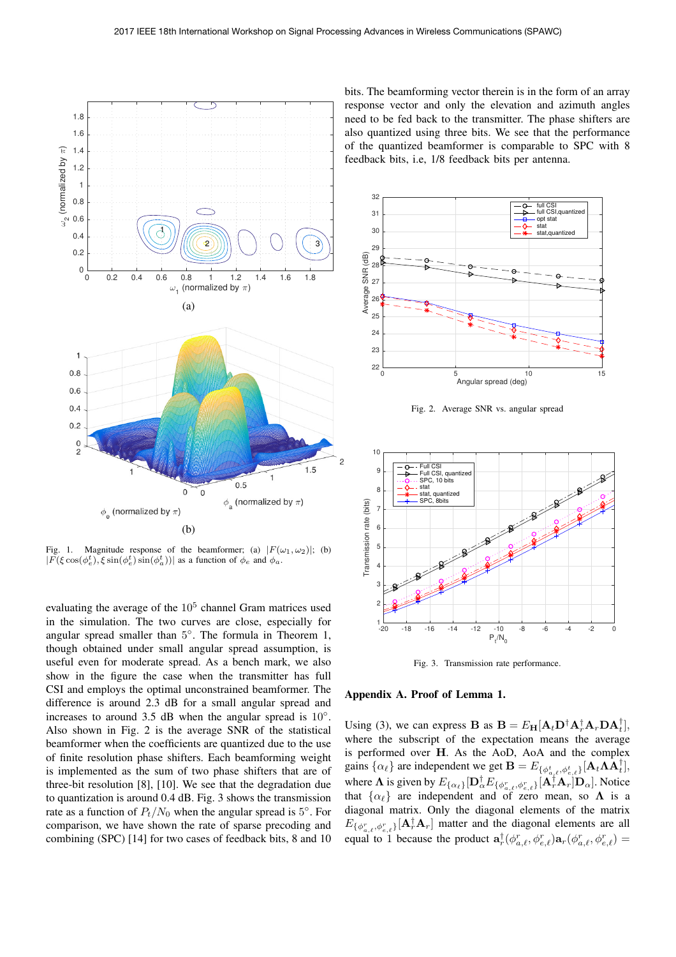

Fig. 1. Magnitude response of the beamformer; (a)  $|F(\omega_1, \omega_2)|$ ; (b)  $|F(\xi \cos(\phi_e^t), \xi \sin(\phi_e^t) \sin(\phi_a^t))|$  as a function of  $\phi_e$  and  $\phi_a$ .

evaluating the average of the  $10<sup>5</sup>$  channel Gram matrices used in the simulation. The two curves are close, especially for angular spread smaller than 5◦. The formula in Theorem 1, though obtained under small angular spread assumption, is useful even for moderate spread. As a bench mark, we also show in the figure the case when the transmitter has full CSI and employs the optimal unconstrained beamformer. The difference is around 2.3 dB for a small angular spread and increases to around 3.5 dB when the angular spread is  $10°$ . Also shown in Fig. 2 is the average SNR of the statistical beamformer when the coefficients are quantized due to the use of finite resolution phase shifters. Each beamforming weight is implemented as the sum of two phase shifters that are of three-bit resolution [8], [10]. We see that the degradation due to quantization is around 0.4 dB. Fig. 3 shows the transmission rate as a function of  $P_t/N_0$  when the angular spread is 5°. For comparison, we have shown the rate of sparse precoding and combining (SPC) [14] for two cases of feedback bits, 8 and 10

bits. The beamforming vector therein is in the form of an array response vector and only the elevation and azimuth angles need to be fed back to the transmitter. The phase shifters are also quantized using three bits. We see that the performance of the quantized beamformer is comparable to SPC with 8 feedback bits, i.e, 1/8 feedback bits per antenna.



Fig. 2. Average SNR vs. angular spread



Fig. 3. Transmission rate performance.



Using (3), we can express **B** as  $\mathbf{B} = E_{\mathbf{H}}[\mathbf{A}_t \mathbf{D}^{\dagger} \mathbf{A}_t^{\dagger} \mathbf{A}_t \mathbf{D} \mathbf{A}_t^{\dagger}]$ , where the subscript of the expectation means the average where the subscript of the expectation means the average is performed over **H**. As the AoD, AoA and the complex<br>gains  $\{\alpha_{\ell}\}\$  are independent we get  $\mathbf{B} = E_{\{\phi_{\alpha,\ell}^t, \phi_{\alpha,\ell}^t\}}[\mathbf{A}_t \Lambda \mathbf{A}_t^{\dagger}]$ , where  $\Lambda$  is given by  $E_{\{\alpha_\ell\}}[\mathbf{D}_{\alpha}^{\dagger}E_{\{\phi_{\alpha,\ell}^r,\phi_{\alpha,\ell}^r\}}[\mathbf{A}_{\tau}^{\dagger}]\mathbf{A}_{\tau}]\mathbf{D}_{\alpha}].$  Notice that  $\{\alpha_\ell\}$  are independent and of zero mean, so  $\Lambda$  is a diagonal matrix. Only the diagonal elements of the matrix diagonal matrix. Only the diagonal elements of the matrix  $E_{\{\phi_{a,\ell}^r, \phi_{e,\ell}^r\}}[\mathbf{A}_r^{\dagger} \mathbf{A}_r]$  matter and the diagonal elements are all<br>  $\mathbf{A}_{\ell}^{\dagger}$  the same that  $\mathbf{A}_{\ell}^{\dagger}$  (*i*  $\mathbf{A}_{\ell}^{\dagger}$ ) = (*i*  $\mathbf{A}_{\ell}^{\dagger}$ ) equal to 1 because the product  $\mathbf{a}_r^{\dagger}(\phi_{a,\ell}^r, \phi_{e,\ell}^r) \mathbf{a}_r(\phi_{a,\ell}^r, \phi_{e,\ell}^r) =$